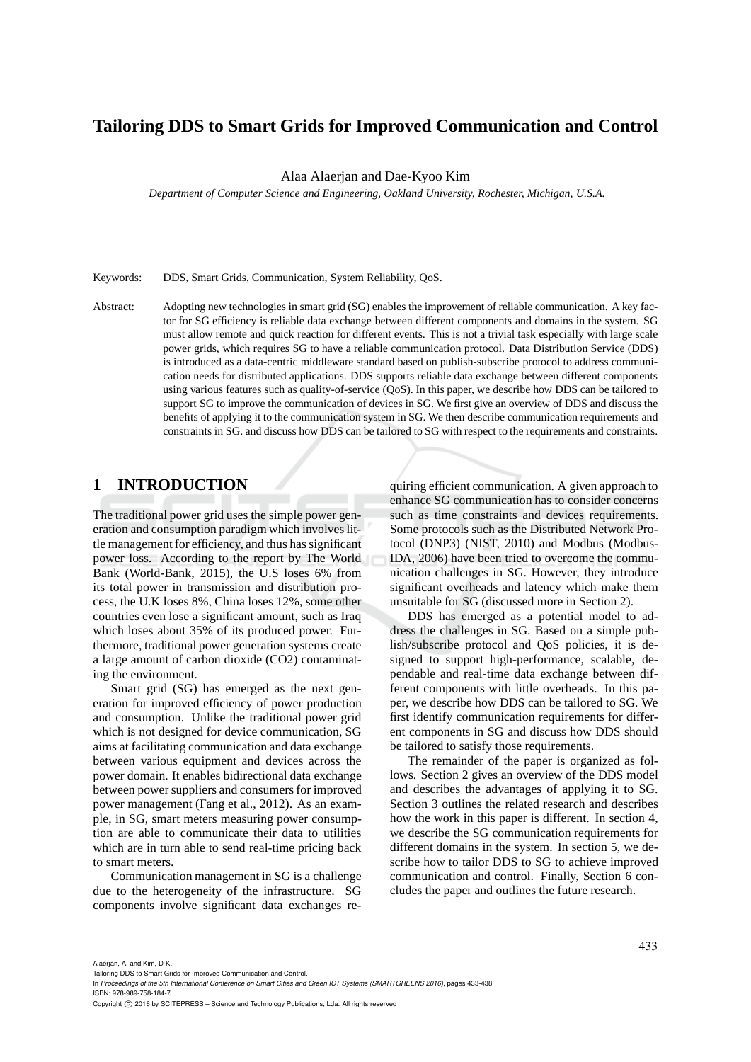# **Tailoring DDS to Smart Grids for Improved Communication and Control**

Alaa Alaerjan and Dae-Kyoo Kim

*Department of Computer Science and Engineering, Oakland University, Rochester, Michigan, U.S.A.*

Keywords: DDS, Smart Grids, Communication, System Reliability, QoS.

Abstract: Adopting new technologies in smart grid (SG) enables the improvement of reliable communication. A key factor for SG efficiency is reliable data exchange between different components and domains in the system. SG must allow remote and quick reaction for different events. This is not a trivial task especially with large scale power grids, which requires SG to have a reliable communication protocol. Data Distribution Service (DDS) is introduced as a data-centric middleware standard based on publish-subscribe protocol to address communication needs for distributed applications. DDS supports reliable data exchange between different components using various features such as quality-of-service (QoS). In this paper, we describe how DDS can be tailored to support SG to improve the communication of devices in SG. We first give an overview of DDS and discuss the benefits of applying it to the communication system in SG. We then describe communication requirements and constraints in SG. and discuss how DDS can be tailored to SG with respect to the requirements and constraints.

# **1 INTRODUCTION**

The traditional power grid uses the simple power generation and consumption paradigm which involves little management for efficiency, and thus has significant power loss. According to the report by The World Bank (World-Bank, 2015), the U.S loses 6% from its total power in transmission and distribution process, the U.K loses 8%, China loses 12%, some other countries even lose a significant amount, such as Iraq which loses about 35% of its produced power. Furthermore, traditional power generation systems create a large amount of carbon dioxide (CO2) contaminating the environment.

Smart grid (SG) has emerged as the next generation for improved efficiency of power production and consumption. Unlike the traditional power grid which is not designed for device communication, SG aims at facilitating communication and data exchange between various equipment and devices across the power domain. It enables bidirectional data exchange between power suppliers and consumers for improved power management (Fang et al., 2012). As an example, in SG, smart meters measuring power consumption are able to communicate their data to utilities which are in turn able to send real-time pricing back to smart meters.

Communication management in SG is a challenge due to the heterogeneity of the infrastructure. SG components involve significant data exchanges re-

quiring efficient communication. A given approach to enhance SG communication has to consider concerns such as time constraints and devices requirements. Some protocols such as the Distributed Network Protocol (DNP3) (NIST, 2010) and Modbus (Modbus-IDA, 2006) have been tried to overcome the communication challenges in SG. However, they introduce significant overheads and latency which make them unsuitable for SG (discussed more in Section 2).

DDS has emerged as a potential model to address the challenges in SG. Based on a simple publish/subscribe protocol and QoS policies, it is designed to support high-performance, scalable, dependable and real-time data exchange between different components with little overheads. In this paper, we describe how DDS can be tailored to SG. We first identify communication requirements for different components in SG and discuss how DDS should be tailored to satisfy those requirements.

The remainder of the paper is organized as follows. Section 2 gives an overview of the DDS model and describes the advantages of applying it to SG. Section 3 outlines the related research and describes how the work in this paper is different. In section 4, we describe the SG communication requirements for different domains in the system. In section 5, we describe how to tailor DDS to SG to achieve improved communication and control. Finally, Section 6 concludes the paper and outlines the future research.

Alaerjan, A. and Kim, D-K.

Tailoring DDS to Smart Grids for Improved Communication and Control.

In *Proceedings of the 5th International Conference on Smart Cities and Green ICT Systems (SMARTGREENS 2016)*, pages 433-438 ISBN: 978-989-758-184-7

Copyright (C) 2016 by SCITEPRESS - Science and Technology Publications, Lda. All rights reserved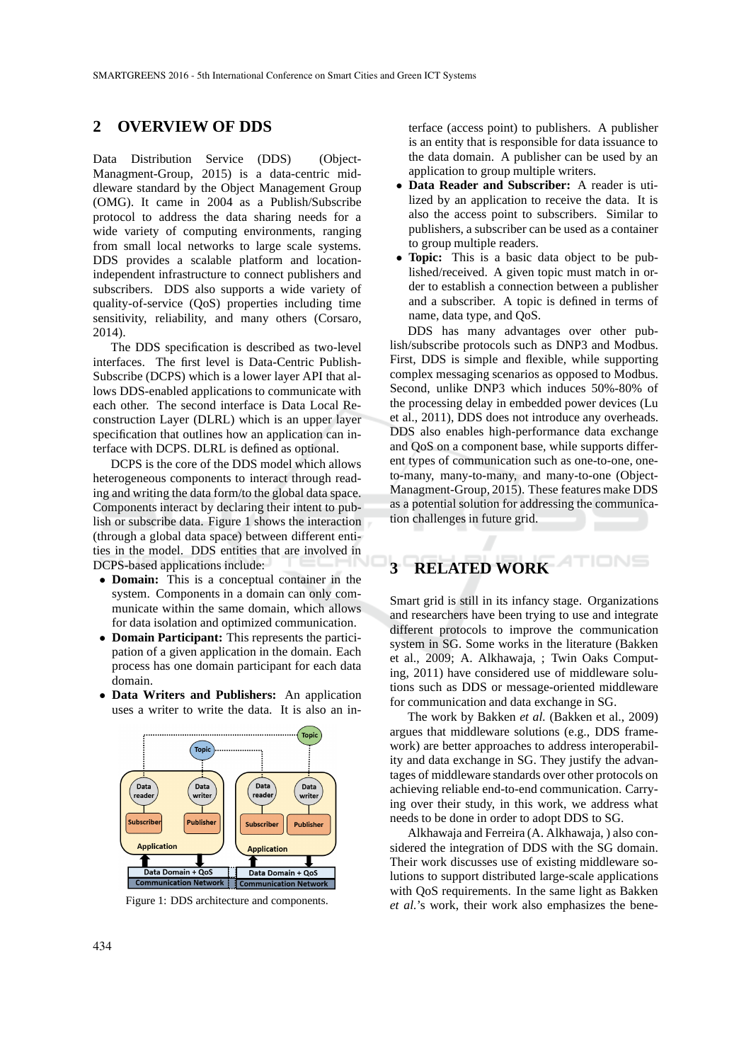### **2 OVERVIEW OF DDS**

Data Distribution Service (DDS) (Object-Managment-Group, 2015) is a data-centric middleware standard by the Object Management Group (OMG). It came in 2004 as a Publish/Subscribe protocol to address the data sharing needs for a wide variety of computing environments, ranging from small local networks to large scale systems. DDS provides a scalable platform and locationindependent infrastructure to connect publishers and subscribers. DDS also supports a wide variety of quality-of-service (QoS) properties including time sensitivity, reliability, and many others (Corsaro, 2014).

The DDS specification is described as two-level interfaces. The first level is Data-Centric Publish-Subscribe (DCPS) which is a lower layer API that allows DDS-enabled applications to communicate with each other. The second interface is Data Local Reconstruction Layer (DLRL) which is an upper layer specification that outlines how an application can interface with DCPS. DLRL is defined as optional.

DCPS is the core of the DDS model which allows heterogeneous components to interact through reading and writing the data form/to the global data space. Components interact by declaring their intent to publish or subscribe data. Figure 1 shows the interaction (through a global data space) between different entities in the model. DDS entities that are involved in DCPS-based applications include:

- **Domain:** This is a conceptual container in the system. Components in a domain can only communicate within the same domain, which allows for data isolation and optimized communication.
- **Domain Participant:** This represents the participation of a given application in the domain. Each process has one domain participant for each data domain.
- **Data Writers and Publishers:** An application uses a writer to write the data. It is also an in-



Figure 1: DDS architecture and components.

terface (access point) to publishers. A publisher is an entity that is responsible for data issuance to the data domain. A publisher can be used by an application to group multiple writers.

- **Data Reader and Subscriber:** A reader is utilized by an application to receive the data. It is also the access point to subscribers. Similar to publishers, a subscriber can be used as a container to group multiple readers.
- **Topic:** This is a basic data object to be published/received. A given topic must match in order to establish a connection between a publisher and a subscriber. A topic is defined in terms of name, data type, and QoS.

DDS has many advantages over other publish/subscribe protocols such as DNP3 and Modbus. First, DDS is simple and flexible, while supporting complex messaging scenarios as opposed to Modbus. Second, unlike DNP3 which induces 50%-80% of the processing delay in embedded power devices (Lu et al., 2011), DDS does not introduce any overheads. DDS also enables high-performance data exchange and QoS on a component base, while supports different types of communication such as one-to-one, oneto-many, many-to-many, and many-to-one (Object-Managment-Group, 2015). These features make DDS as a potential solution for addressing the communication challenges in future grid.

# **3 RELATED WORK**

Smart grid is still in its infancy stage. Organizations and researchers have been trying to use and integrate different protocols to improve the communication system in SG. Some works in the literature (Bakken et al., 2009; A. Alkhawaja, ; Twin Oaks Computing, 2011) have considered use of middleware solutions such as DDS or message-oriented middleware for communication and data exchange in SG.

The work by Bakken *et al.* (Bakken et al., 2009) argues that middleware solutions (e.g., DDS framework) are better approaches to address interoperability and data exchange in SG. They justify the advantages of middleware standards over other protocols on achieving reliable end-to-end communication. Carrying over their study, in this work, we address what needs to be done in order to adopt DDS to SG.

Alkhawaja and Ferreira (A. Alkhawaja, ) also considered the integration of DDS with the SG domain. Their work discusses use of existing middleware solutions to support distributed large-scale applications with QoS requirements. In the same light as Bakken *et al.*'s work, their work also emphasizes the bene-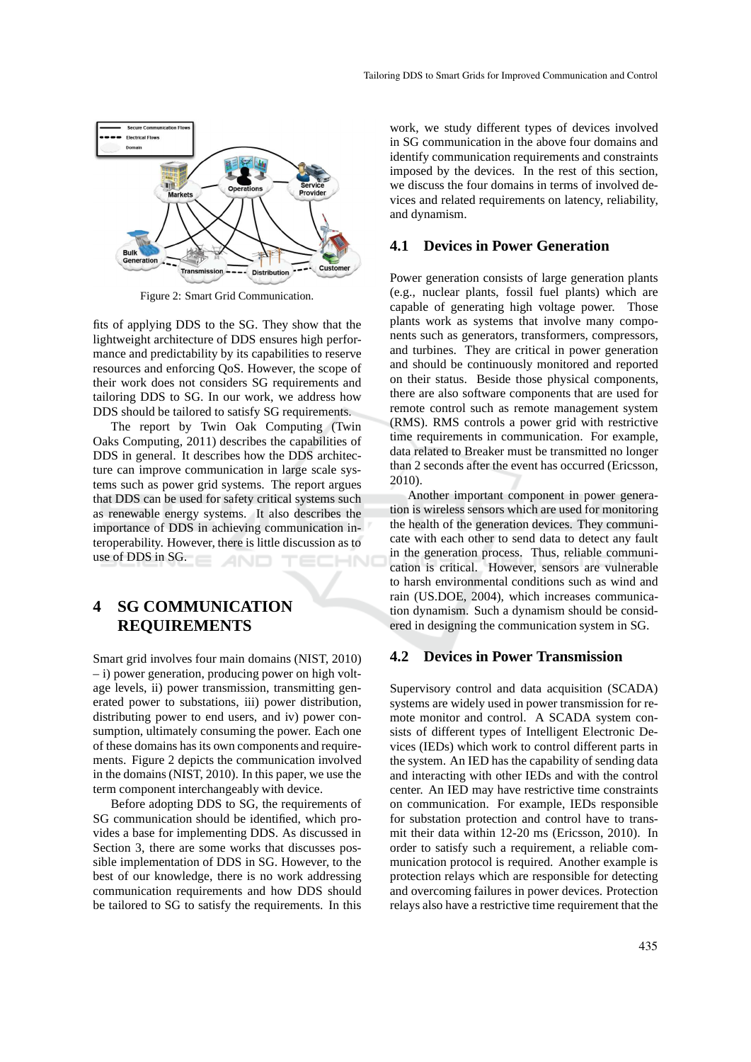

Figure 2: Smart Grid Communication.

fits of applying DDS to the SG. They show that the lightweight architecture of DDS ensures high performance and predictability by its capabilities to reserve resources and enforcing QoS. However, the scope of their work does not considers SG requirements and tailoring DDS to SG. In our work, we address how DDS should be tailored to satisfy SG requirements.

The report by Twin Oak Computing (Twin Oaks Computing, 2011) describes the capabilities of DDS in general. It describes how the DDS architecture can improve communication in large scale systems such as power grid systems. The report argues that DDS can be used for safety critical systems such as renewable energy systems. It also describes the importance of DDS in achieving communication interoperability. However, there is little discussion as to use of DDS in SG.

# **4 SG COMMUNICATION REQUIREMENTS**

Smart grid involves four main domains (NIST, 2010) – i) power generation, producing power on high voltage levels, ii) power transmission, transmitting generated power to substations, iii) power distribution, distributing power to end users, and iv) power consumption, ultimately consuming the power. Each one of these domains has its own components and requirements. Figure 2 depicts the communication involved in the domains (NIST, 2010). In this paper, we use the term component interchangeably with device.

Before adopting DDS to SG, the requirements of SG communication should be identified, which provides a base for implementing DDS. As discussed in Section 3, there are some works that discusses possible implementation of DDS in SG. However, to the best of our knowledge, there is no work addressing communication requirements and how DDS should be tailored to SG to satisfy the requirements. In this

work, we study different types of devices involved in SG communication in the above four domains and identify communication requirements and constraints imposed by the devices. In the rest of this section, we discuss the four domains in terms of involved devices and related requirements on latency, reliability, and dynamism.

#### **4.1 Devices in Power Generation**

Power generation consists of large generation plants (e.g., nuclear plants, fossil fuel plants) which are capable of generating high voltage power. Those plants work as systems that involve many components such as generators, transformers, compressors, and turbines. They are critical in power generation and should be continuously monitored and reported on their status. Beside those physical components, there are also software components that are used for remote control such as remote management system (RMS). RMS controls a power grid with restrictive time requirements in communication. For example, data related to Breaker must be transmitted no longer than 2 seconds after the event has occurred (Ericsson, 2010).

Another important component in power generation is wireless sensors which are used for monitoring the health of the generation devices. They communicate with each other to send data to detect any fault in the generation process. Thus, reliable communication is critical. However, sensors are vulnerable to harsh environmental conditions such as wind and rain (US.DOE, 2004), which increases communication dynamism. Such a dynamism should be considered in designing the communication system in SG.

### **4.2 Devices in Power Transmission**

Supervisory control and data acquisition (SCADA) systems are widely used in power transmission for remote monitor and control. A SCADA system consists of different types of Intelligent Electronic Devices (IEDs) which work to control different parts in the system. An IED has the capability of sending data and interacting with other IEDs and with the control center. An IED may have restrictive time constraints on communication. For example, IEDs responsible for substation protection and control have to transmit their data within 12-20 ms (Ericsson, 2010). In order to satisfy such a requirement, a reliable communication protocol is required. Another example is protection relays which are responsible for detecting and overcoming failures in power devices. Protection relays also have a restrictive time requirement that the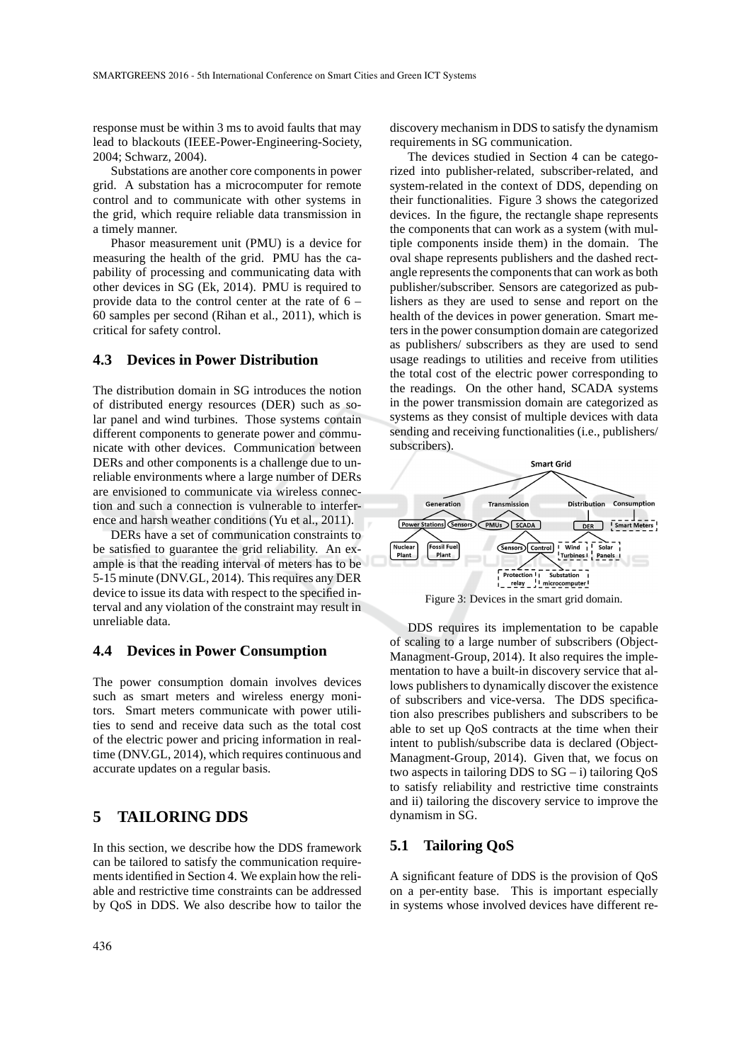response must be within 3 ms to avoid faults that may lead to blackouts (IEEE-Power-Engineering-Society, 2004; Schwarz, 2004).

Substations are another core components in power grid. A substation has a microcomputer for remote control and to communicate with other systems in the grid, which require reliable data transmission in a timely manner.

Phasor measurement unit (PMU) is a device for measuring the health of the grid. PMU has the capability of processing and communicating data with other devices in SG (Ek, 2014). PMU is required to provide data to the control center at the rate of 6 – 60 samples per second (Rihan et al., 2011), which is critical for safety control.

#### **4.3 Devices in Power Distribution**

The distribution domain in SG introduces the notion of distributed energy resources (DER) such as solar panel and wind turbines. Those systems contain different components to generate power and communicate with other devices. Communication between DERs and other components is a challenge due to unreliable environments where a large number of DERs are envisioned to communicate via wireless connection and such a connection is vulnerable to interference and harsh weather conditions (Yu et al., 2011).

DERs have a set of communication constraints to be satisfied to guarantee the grid reliability. An example is that the reading interval of meters has to be 5-15 minute (DNV.GL, 2014). This requires any DER device to issue its data with respect to the specified interval and any violation of the constraint may result in unreliable data.

#### **4.4 Devices in Power Consumption**

The power consumption domain involves devices such as smart meters and wireless energy monitors. Smart meters communicate with power utilities to send and receive data such as the total cost of the electric power and pricing information in realtime (DNV.GL, 2014), which requires continuous and accurate updates on a regular basis.

# **5 TAILORING DDS**

In this section, we describe how the DDS framework can be tailored to satisfy the communication requirements identified in Section 4. We explain how the reliable and restrictive time constraints can be addressed by QoS in DDS. We also describe how to tailor the discovery mechanism in DDS to satisfy the dynamism requirements in SG communication.

The devices studied in Section 4 can be categorized into publisher-related, subscriber-related, and system-related in the context of DDS, depending on their functionalities. Figure 3 shows the categorized devices. In the figure, the rectangle shape represents the components that can work as a system (with multiple components inside them) in the domain. The oval shape represents publishers and the dashed rectangle represents the components that can work as both publisher/subscriber. Sensors are categorized as publishers as they are used to sense and report on the health of the devices in power generation. Smart meters in the power consumption domain are categorized as publishers/ subscribers as they are used to send usage readings to utilities and receive from utilities the total cost of the electric power corresponding to the readings. On the other hand, SCADA systems in the power transmission domain are categorized as systems as they consist of multiple devices with data sending and receiving functionalities (i.e., publishers/ subscribers).



Figure 3: Devices in the smart grid domain.

DDS requires its implementation to be capable of scaling to a large number of subscribers (Object-Managment-Group, 2014). It also requires the implementation to have a built-in discovery service that allows publishers to dynamically discover the existence of subscribers and vice-versa. The DDS specification also prescribes publishers and subscribers to be able to set up QoS contracts at the time when their intent to publish/subscribe data is declared (Object-Managment-Group, 2014). Given that, we focus on two aspects in tailoring DDS to  $SG - i$ ) tailoring  $QoS$ to satisfy reliability and restrictive time constraints and ii) tailoring the discovery service to improve the dynamism in SG.

#### **5.1 Tailoring QoS**

A significant feature of DDS is the provision of QoS on a per-entity base. This is important especially in systems whose involved devices have different re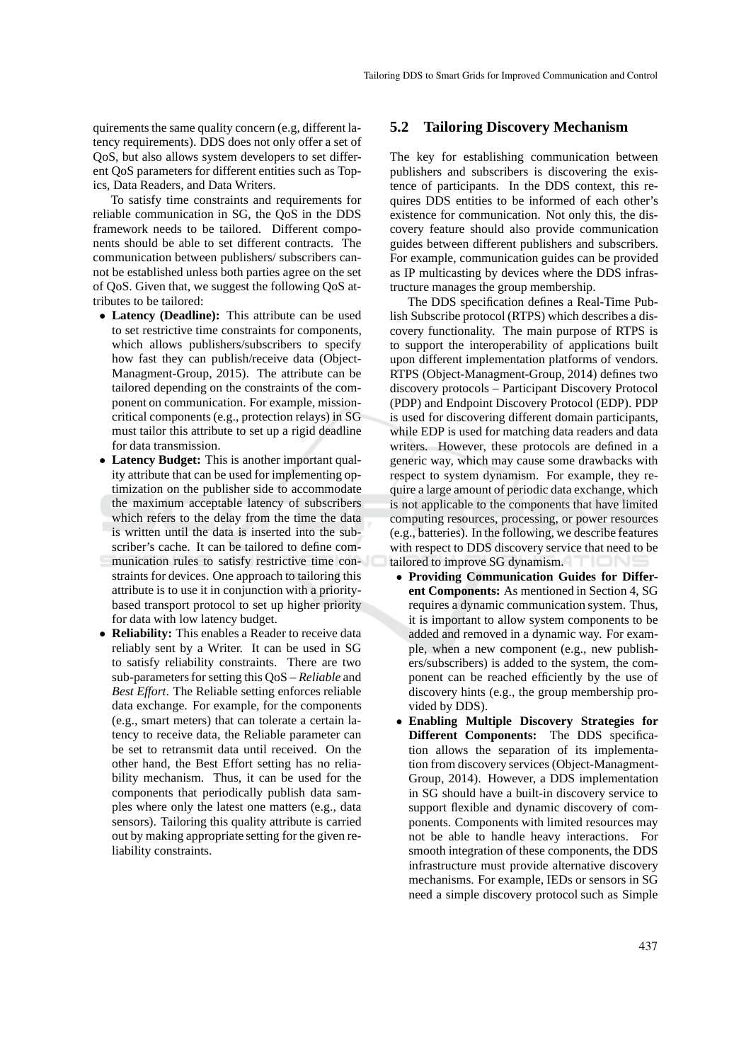quirements the same quality concern (e.g, different latency requirements). DDS does not only offer a set of QoS, but also allows system developers to set different QoS parameters for different entities such as Topics, Data Readers, and Data Writers.

To satisfy time constraints and requirements for reliable communication in SG, the QoS in the DDS framework needs to be tailored. Different components should be able to set different contracts. The communication between publishers/ subscribers cannot be established unless both parties agree on the set of QoS. Given that, we suggest the following QoS attributes to be tailored:

- **Latency (Deadline):** This attribute can be used to set restrictive time constraints for components, which allows publishers/subscribers to specify how fast they can publish/receive data (Object-Managment-Group, 2015). The attribute can be tailored depending on the constraints of the component on communication. For example, missioncritical components (e.g., protection relays) in SG must tailor this attribute to set up a rigid deadline for data transmission.
- **Latency Budget:** This is another important quality attribute that can be used for implementing optimization on the publisher side to accommodate the maximum acceptable latency of subscribers which refers to the delay from the time the data is written until the data is inserted into the subscriber's cache. It can be tailored to define communication rules to satisfy restrictive time constraints for devices. One approach to tailoring this attribute is to use it in conjunction with a prioritybased transport protocol to set up higher priority for data with low latency budget.
- **Reliability:** This enables a Reader to receive data reliably sent by a Writer. It can be used in SG to satisfy reliability constraints. There are two sub-parameters for setting this QoS – *Reliable* and *Best Effort*. The Reliable setting enforces reliable data exchange. For example, for the components (e.g., smart meters) that can tolerate a certain latency to receive data, the Reliable parameter can be set to retransmit data until received. On the other hand, the Best Effort setting has no reliability mechanism. Thus, it can be used for the components that periodically publish data samples where only the latest one matters (e.g., data sensors). Tailoring this quality attribute is carried out by making appropriate setting for the given reliability constraints.

#### **5.2 Tailoring Discovery Mechanism**

The key for establishing communication between publishers and subscribers is discovering the existence of participants. In the DDS context, this requires DDS entities to be informed of each other's existence for communication. Not only this, the discovery feature should also provide communication guides between different publishers and subscribers. For example, communication guides can be provided as IP multicasting by devices where the DDS infrastructure manages the group membership.

The DDS specification defines a Real-Time Publish Subscribe protocol (RTPS) which describes a discovery functionality. The main purpose of RTPS is to support the interoperability of applications built upon different implementation platforms of vendors. RTPS (Object-Managment-Group, 2014) defines two discovery protocols – Participant Discovery Protocol (PDP) and Endpoint Discovery Protocol (EDP). PDP is used for discovering different domain participants, while EDP is used for matching data readers and data writers. However, these protocols are defined in a generic way, which may cause some drawbacks with respect to system dynamism. For example, they require a large amount of periodic data exchange, which is not applicable to the components that have limited computing resources, processing, or power resources (e.g., batteries). In the following, we describe features with respect to DDS discovery service that need to be tailored to improve SG dynamism.

- **Providing Communication Guides for Different Components:** As mentioned in Section 4, SG requires a dynamic communication system. Thus, it is important to allow system components to be added and removed in a dynamic way. For example, when a new component (e.g., new publishers/subscribers) is added to the system, the component can be reached efficiently by the use of discovery hints (e.g., the group membership provided by DDS).
- **Enabling Multiple Discovery Strategies for Different Components:** The DDS specification allows the separation of its implementation from discovery services (Object-Managment-Group, 2014). However, a DDS implementation in SG should have a built-in discovery service to support flexible and dynamic discovery of components. Components with limited resources may not be able to handle heavy interactions. For smooth integration of these components, the DDS infrastructure must provide alternative discovery mechanisms. For example, IEDs or sensors in SG need a simple discovery protocol such as Simple